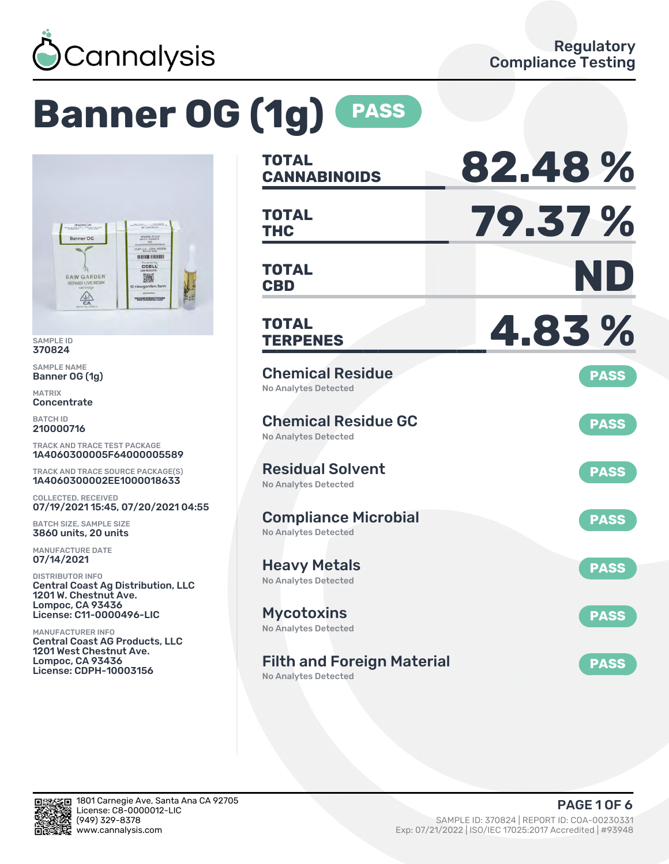

# **Banner OG (1g) PASS**



SAMPLE ID 370824

SAMPLE NAME Banner OG (1g)

MATRIX **Concentrate** 

BATCH ID 210000716

TRACK AND TRACE TEST PACKAGE 1A4060300005F64000005589

TRACK AND TRACE SOURCE PACKAGE(S) 1A4060300002EE1000018633

COLLECTED, RECEIVED 07/19/2021 15:45, 07/20/2021 04:55

BATCH SIZE, SAMPLE SIZE 3860 units, 20 units

MANUFACTURE DATE 07/14/2021

DISTRIBUTOR INFO Central Coast Ag Distribution, LLC 1201 W. Chestnut Ave. Lompoc, CA 93436 License: C11-0000496-LIC

MANUFACTURER INFO Central Coast AG Products, LLC 1201 West Chestnut Ave. Lompoc, CA 93436 License: CDPH-10003156

| <b>TOTAL</b><br><b>CANNABINOIDS</b>                        | 82.48%         |
|------------------------------------------------------------|----------------|
| <b>TOTAL</b><br><b>THC</b>                                 | <b>79.37 %</b> |
| TOTAL<br><b>CBD</b>                                        | ND             |
| <b>TOTAL</b><br><b>TERPENES</b>                            | 4.83%          |
| <b>Chemical Residue</b><br><b>No Analytes Detected</b>     | <b>PASS</b>    |
| <b>Chemical Residue GC</b><br><b>No Analytes Detected</b>  | <b>PASS</b>    |
| <b>Residual Solvent</b><br><b>No Analytes Detected</b>     | <b>PASS</b>    |
| <b>Compliance Microbial</b><br><b>No Analytes Detected</b> | <b>PASS</b>    |
| <b>Heavy Metals</b><br>No Analytes Detected                | <b>PASS</b>    |
| <b>Mycotoxins</b><br>No Analytes Detected                  | <b>PASS</b>    |
| <b>Filth and Foreign Material</b>                          | <b>PASS</b>    |

No Analytes Detected

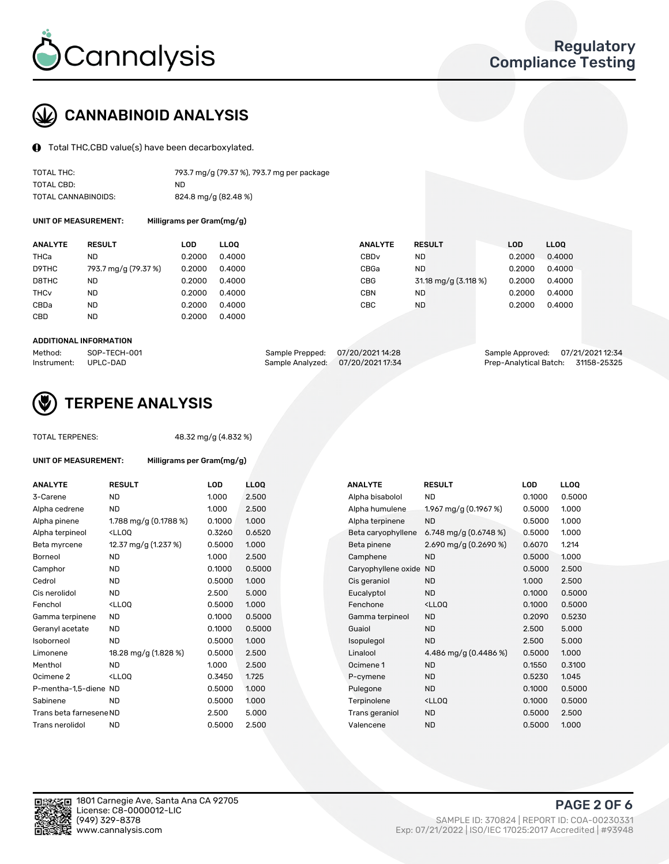

## CANNABINOID ANALYSIS

Total THC,CBD value(s) have been decarboxylated.

| TOTAL THC:          | 793.7 mg/g (79.37 %), 793.7 mg per package |
|---------------------|--------------------------------------------|
| TOTAL CBD:          | ND.                                        |
| TOTAL CANNABINOIDS: | 824.8 mg/g (82.48 %)                       |

UNIT OF MEASUREMENT: Milligrams per Gram(mg/g)

| <b>ANALYTE</b>         | <b>RESULT</b>        | LOD    | <b>LLOO</b> | <b>ANALYTE</b>   | <b>RESULT</b>        | <b>LOD</b> | LL <sub>00</sub> |
|------------------------|----------------------|--------|-------------|------------------|----------------------|------------|------------------|
| THCa                   | ND                   | 0.2000 | 0.4000      | CBD <sub>v</sub> | ND                   | 0.2000     | 0.4000           |
| D9THC                  | 793.7 mg/g (79.37 %) | 0.2000 | 0.4000      | CBGa             | <b>ND</b>            | 0.2000     | 0.4000           |
| D8THC                  | ND                   | 0.2000 | 0.4000      | <b>CBG</b>       | 31.18 mg/g (3.118 %) | 0.2000     | 0.4000           |
| <b>THC<sub>v</sub></b> | <b>ND</b>            | 0.2000 | 0.4000      | CBN              | <b>ND</b>            | 0.2000     | 0.4000           |
| CBDa                   | <b>ND</b>            | 0.2000 | 0.4000      | СВС              | ND.                  | 0.2000     | 0.4000           |
| CBD                    | <b>ND</b>            | 0.2000 | 0.4000      |                  |                      |            |                  |
|                        |                      |        |             |                  |                      |            |                  |

#### ADDITIONAL INFORMATION

| Method:              | SOP-TECH-001 | Sample Prepped: 07/20/2021 14:28  | Sample Approved: 07/21/2021 12:34  |  |
|----------------------|--------------|-----------------------------------|------------------------------------|--|
| Instrument: UPLC-DAD |              | Sample Analyzed: 07/20/2021 17:34 | Prep-Analytical Batch: 31158-25325 |  |



## TERPENE ANALYSIS

| <b>TOTAL TERPENES:</b>  | 48.32 mg/g (4.832 %)                                         |        |                  |  |  |  |  |  |
|-------------------------|--------------------------------------------------------------|--------|------------------|--|--|--|--|--|
| UNIT OF MEASUREMENT:    | Milligrams per Gram(mg/g)                                    |        |                  |  |  |  |  |  |
| <b>ANALYTE</b>          | <b>RESULT</b>                                                | LOD    | LL(              |  |  |  |  |  |
| 3-Carene                | <b>ND</b>                                                    | 1.000  | 2.5              |  |  |  |  |  |
| Alpha cedrene           | <b>ND</b>                                                    | 1.000  | 2.5              |  |  |  |  |  |
| Alpha pinene            | 1.788 mg/g $(0.1788\%)$                                      | 0.1000 | 1.0(             |  |  |  |  |  |
| Alpha terpineol         | <lloo< td=""><td>0.3260</td><td>0.6</td></lloo<>             | 0.3260 | 0.6              |  |  |  |  |  |
| Beta myrcene            | 12.37 mg/g (1.237 %)                                         | 0.5000 | 1.0 <sub>1</sub> |  |  |  |  |  |
| Borneol                 | ND.                                                          | 1.000  | 2.5              |  |  |  |  |  |
| Camphor                 | <b>ND</b>                                                    | 0.1000 | 0.5              |  |  |  |  |  |
| Cedrol                  | <b>ND</b>                                                    | 0.5000 | 1.0 <sub>1</sub> |  |  |  |  |  |
| Cis nerolidol           | <b>ND</b>                                                    | 2.500  | 5.0              |  |  |  |  |  |
| Fenchol                 | <lloo< td=""><td>0.5000</td><td>1.0<sub>1</sub></td></lloo<> | 0.5000 | 1.0 <sub>1</sub> |  |  |  |  |  |
| Gamma terpinene         | <b>ND</b>                                                    | 0.1000 | 0.5              |  |  |  |  |  |
| Geranyl acetate         | <b>ND</b>                                                    | 0.1000 | 0.5              |  |  |  |  |  |
| Isoborneol              | ND.                                                          | 0.5000 | 1.0 <sub>1</sub> |  |  |  |  |  |
| Limonene                | 18.28 mg/g (1.828 %)                                         | 0.5000 | 2.5              |  |  |  |  |  |
| Menthol                 | ND.                                                          | 1.000  | 2.5              |  |  |  |  |  |
| Ocimene <sub>2</sub>    | <lloo< td=""><td>0.3450</td><td>1.72</td></lloo<>            | 0.3450 | 1.72             |  |  |  |  |  |
| P-mentha-1,5-diene ND   |                                                              | 0.5000 | 1.0 <sub>1</sub> |  |  |  |  |  |
| Sabinene                | <b>ND</b>                                                    | 0.5000 | 1.01             |  |  |  |  |  |
| Trans beta farnesene ND |                                                              | 2.500  | 5.0              |  |  |  |  |  |
| Trans nerolidol         | ND                                                           | 0.5000 | 2.5              |  |  |  |  |  |
|                         |                                                              |        |                  |  |  |  |  |  |

| <b>ANALYTE</b>          | <b>RESULT</b>                                                                                                                                          | <b>LOD</b> | <b>LLOQ</b> | <b>ANALYTE</b>         | <b>RESULT</b>                                       | <b>LOD</b> | <b>LLOQ</b> |
|-------------------------|--------------------------------------------------------------------------------------------------------------------------------------------------------|------------|-------------|------------------------|-----------------------------------------------------|------------|-------------|
| 3-Carene                | <b>ND</b>                                                                                                                                              | 1.000      | 2.500       | Alpha bisabolol        | <b>ND</b>                                           | 0.1000     | 0.5000      |
| Alpha cedrene           | <b>ND</b>                                                                                                                                              | 1.000      | 2.500       | Alpha humulene         | 1.967 mg/g (0.1967 %)                               | 0.5000     | 1.000       |
| Alpha pinene            | 1.788 mg/g $(0.1788\%)$                                                                                                                                | 0.1000     | 1.000       | Alpha terpinene        | <b>ND</b>                                           | 0.5000     | 1.000       |
| Alpha terpineol         | <lloq< td=""><td>0.3260</td><td>0.6520</td><td>Beta caryophyllene</td><td>6.748 mg/g <math>(0.6748\%)</math></td><td>0.5000</td><td>1.000</td></lloq<> | 0.3260     | 0.6520      | Beta caryophyllene     | 6.748 mg/g $(0.6748\%)$                             | 0.5000     | 1.000       |
| Beta myrcene            | 12.37 mg/g (1.237 %)                                                                                                                                   | 0.5000     | 1.000       | Beta pinene            | 2.690 mg/g $(0.2690\%)$                             | 0.6070     | 1.214       |
| Borneol                 | <b>ND</b>                                                                                                                                              | 1.000      | 2.500       | Camphene               | <b>ND</b>                                           | 0.5000     | 1.000       |
| Camphor                 | <b>ND</b>                                                                                                                                              | 0.1000     | 0.5000      | Caryophyllene oxide ND |                                                     | 0.5000     | 2.500       |
| Cedrol                  | <b>ND</b>                                                                                                                                              | 0.5000     | 1.000       | Cis geraniol           | <b>ND</b>                                           | 1.000      | 2.500       |
| Cis nerolidol           | <b>ND</b>                                                                                                                                              | 2.500      | 5.000       | Eucalyptol             | <b>ND</b>                                           | 0.1000     | 0.5000      |
| Fenchol                 | <lloq< td=""><td>0.5000</td><td>1.000</td><td>Fenchone</td><td><ll0q< td=""><td>0.1000</td><td>0.5000</td></ll0q<></td></lloq<>                        | 0.5000     | 1.000       | Fenchone               | <ll0q< td=""><td>0.1000</td><td>0.5000</td></ll0q<> | 0.1000     | 0.5000      |
| Gamma terpinene         | <b>ND</b>                                                                                                                                              | 0.1000     | 0.5000      | Gamma terpineol        | <b>ND</b>                                           | 0.2090     | 0.5230      |
| Geranyl acetate         | ND.                                                                                                                                                    | 0.1000     | 0.5000      | Guaiol                 | <b>ND</b>                                           | 2.500      | 5.000       |
| Isoborneol              | <b>ND</b>                                                                                                                                              | 0.5000     | 1.000       | Isopulegol             | <b>ND</b>                                           | 2.500      | 5.000       |
| Limonene                | 18.28 mg/g (1.828 %)                                                                                                                                   | 0.5000     | 2.500       | Linalool               | 4.486 mg/g (0.4486 %)                               | 0.5000     | 1.000       |
| Menthol                 | <b>ND</b>                                                                                                                                              | 1.000      | 2.500       | Ocimene 1              | <b>ND</b>                                           | 0.1550     | 0.3100      |
| Ocimene 2               | <lloq< td=""><td>0.3450</td><td>1.725</td><td>P-cymene</td><td><b>ND</b></td><td>0.5230</td><td>1.045</td></lloq<>                                     | 0.3450     | 1.725       | P-cymene               | <b>ND</b>                                           | 0.5230     | 1.045       |
| P-mentha-1,5-diene ND   |                                                                                                                                                        | 0.5000     | 1.000       | Pulegone               | <b>ND</b>                                           | 0.1000     | 0.5000      |
| Sabinene                | <b>ND</b>                                                                                                                                              | 0.5000     | 1.000       | Terpinolene            | <ll0q< td=""><td>0.1000</td><td>0.5000</td></ll0q<> | 0.1000     | 0.5000      |
| Trans beta farnesene ND |                                                                                                                                                        | 2.500      | 5.000       | Trans geraniol         | <b>ND</b>                                           | 0.5000     | 2.500       |
| Trans nerolidol         | <b>ND</b>                                                                                                                                              | 0.5000     | 2.500       | Valencene              | <b>ND</b>                                           | 0.5000     | 1.000       |
|                         |                                                                                                                                                        |            |             |                        |                                                     |            |             |

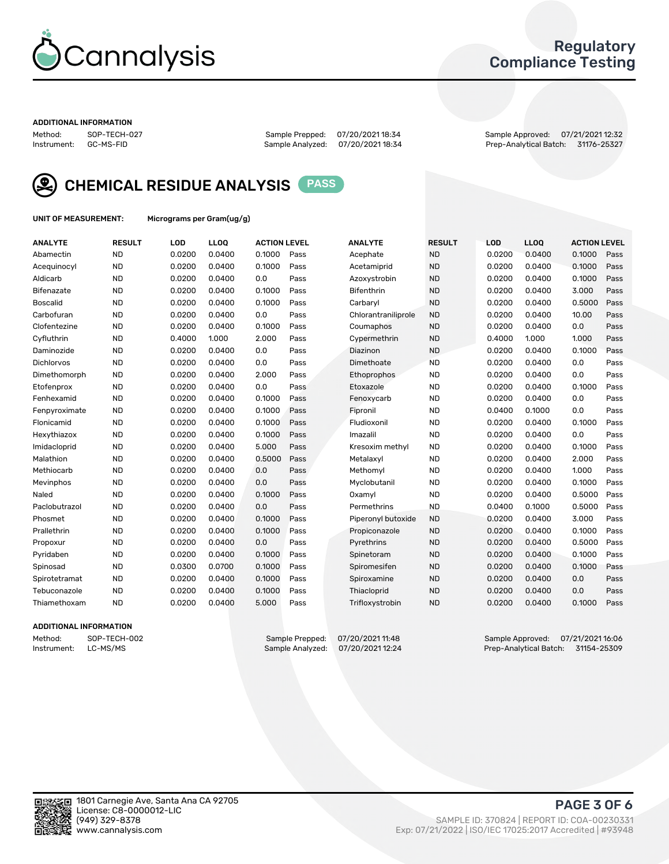

## Regulatory Compliance Testing

#### ADDITIONAL INFORMATION

Sample Analyzed: 07/20/2021 18:34

Method: SOP-TECH-027 Sample Prepped: 07/20/2021 18:34 Sample Approved: 07/21/2021 12:32



CHEMICAL RESIDUE ANALYSIS PASS

UNIT OF MEASUREMENT: Micrograms per Gram(ug/g)

| <b>ANALYTE</b>    | <b>RESULT</b> | LOD    | LL <sub>OO</sub> | <b>ACTION LEVEL</b> |      | <b>ANALYTE</b>      | <b>RESULT</b> | <b>LOD</b> | <b>LLOQ</b> | <b>ACTION LEVEL</b> |      |
|-------------------|---------------|--------|------------------|---------------------|------|---------------------|---------------|------------|-------------|---------------------|------|
| Abamectin         | <b>ND</b>     | 0.0200 | 0.0400           | 0.1000              | Pass | Acephate            | <b>ND</b>     | 0.0200     | 0.0400      | 0.1000              | Pass |
| Acequinocyl       | <b>ND</b>     | 0.0200 | 0.0400           | 0.1000              | Pass | Acetamiprid         | <b>ND</b>     | 0.0200     | 0.0400      | 0.1000              | Pass |
| Aldicarb          | <b>ND</b>     | 0.0200 | 0.0400           | 0.0                 | Pass | Azoxystrobin        | <b>ND</b>     | 0.0200     | 0.0400      | 0.1000              | Pass |
| Bifenazate        | <b>ND</b>     | 0.0200 | 0.0400           | 0.1000              | Pass | <b>Bifenthrin</b>   | <b>ND</b>     | 0.0200     | 0.0400      | 3.000               | Pass |
| <b>Boscalid</b>   | <b>ND</b>     | 0.0200 | 0.0400           | 0.1000              | Pass | Carbaryl            | <b>ND</b>     | 0.0200     | 0.0400      | 0.5000              | Pass |
| Carbofuran        | <b>ND</b>     | 0.0200 | 0.0400           | 0.0                 | Pass | Chlorantraniliprole | <b>ND</b>     | 0.0200     | 0.0400      | 10.00               | Pass |
| Clofentezine      | <b>ND</b>     | 0.0200 | 0.0400           | 0.1000              | Pass | Coumaphos           | <b>ND</b>     | 0.0200     | 0.0400      | 0.0                 | Pass |
| Cyfluthrin        | <b>ND</b>     | 0.4000 | 1.000            | 2.000               | Pass | Cypermethrin        | <b>ND</b>     | 0.4000     | 1.000       | 1.000               | Pass |
| Daminozide        | <b>ND</b>     | 0.0200 | 0.0400           | 0.0                 | Pass | Diazinon            | <b>ND</b>     | 0.0200     | 0.0400      | 0.1000              | Pass |
| <b>Dichlorvos</b> | <b>ND</b>     | 0.0200 | 0.0400           | 0.0                 | Pass | Dimethoate          | <b>ND</b>     | 0.0200     | 0.0400      | 0.0                 | Pass |
| Dimethomorph      | <b>ND</b>     | 0.0200 | 0.0400           | 2.000               | Pass | Ethoprophos         | <b>ND</b>     | 0.0200     | 0.0400      | 0.0                 | Pass |
| Etofenprox        | <b>ND</b>     | 0.0200 | 0.0400           | 0.0                 | Pass | Etoxazole           | <b>ND</b>     | 0.0200     | 0.0400      | 0.1000              | Pass |
| Fenhexamid        | <b>ND</b>     | 0.0200 | 0.0400           | 0.1000              | Pass | Fenoxycarb          | <b>ND</b>     | 0.0200     | 0.0400      | 0.0                 | Pass |
| Fenpyroximate     | <b>ND</b>     | 0.0200 | 0.0400           | 0.1000              | Pass | Fipronil            | <b>ND</b>     | 0.0400     | 0.1000      | 0.0                 | Pass |
| Flonicamid        | <b>ND</b>     | 0.0200 | 0.0400           | 0.1000              | Pass | Fludioxonil         | <b>ND</b>     | 0.0200     | 0.0400      | 0.1000              | Pass |
| Hexythiazox       | <b>ND</b>     | 0.0200 | 0.0400           | 0.1000              | Pass | Imazalil            | <b>ND</b>     | 0.0200     | 0.0400      | 0.0                 | Pass |
| Imidacloprid      | <b>ND</b>     | 0.0200 | 0.0400           | 5.000               | Pass | Kresoxim methyl     | <b>ND</b>     | 0.0200     | 0.0400      | 0.1000              | Pass |
| Malathion         | <b>ND</b>     | 0.0200 | 0.0400           | 0.5000              | Pass | Metalaxyl           | <b>ND</b>     | 0.0200     | 0.0400      | 2.000               | Pass |
| Methiocarb        | <b>ND</b>     | 0.0200 | 0.0400           | 0.0                 | Pass | Methomyl            | <b>ND</b>     | 0.0200     | 0.0400      | 1.000               | Pass |
| Mevinphos         | <b>ND</b>     | 0.0200 | 0.0400           | 0.0                 | Pass | Myclobutanil        | <b>ND</b>     | 0.0200     | 0.0400      | 0.1000              | Pass |
| Naled             | <b>ND</b>     | 0.0200 | 0.0400           | 0.1000              | Pass | Oxamyl              | <b>ND</b>     | 0.0200     | 0.0400      | 0.5000              | Pass |
| Paclobutrazol     | <b>ND</b>     | 0.0200 | 0.0400           | 0.0                 | Pass | Permethrins         | <b>ND</b>     | 0.0400     | 0.1000      | 0.5000              | Pass |
| Phosmet           | <b>ND</b>     | 0.0200 | 0.0400           | 0.1000              | Pass | Piperonyl butoxide  | <b>ND</b>     | 0.0200     | 0.0400      | 3.000               | Pass |
| Prallethrin       | <b>ND</b>     | 0.0200 | 0.0400           | 0.1000              | Pass | Propiconazole       | <b>ND</b>     | 0.0200     | 0.0400      | 0.1000              | Pass |
| Propoxur          | <b>ND</b>     | 0.0200 | 0.0400           | 0.0                 | Pass | Pyrethrins          | <b>ND</b>     | 0.0200     | 0.0400      | 0.5000              | Pass |
| Pyridaben         | <b>ND</b>     | 0.0200 | 0.0400           | 0.1000              | Pass | Spinetoram          | <b>ND</b>     | 0.0200     | 0.0400      | 0.1000              | Pass |
| Spinosad          | <b>ND</b>     | 0.0300 | 0.0700           | 0.1000              | Pass | Spiromesifen        | <b>ND</b>     | 0.0200     | 0.0400      | 0.1000              | Pass |
| Spirotetramat     | <b>ND</b>     | 0.0200 | 0.0400           | 0.1000              | Pass | Spiroxamine         | <b>ND</b>     | 0.0200     | 0.0400      | 0.0                 | Pass |
| Tebuconazole      | <b>ND</b>     | 0.0200 | 0.0400           | 0.1000              | Pass | Thiacloprid         | <b>ND</b>     | 0.0200     | 0.0400      | 0.0                 | Pass |
| Thiamethoxam      | <b>ND</b>     | 0.0200 | 0.0400           | 5.000               | Pass | Trifloxystrobin     | <b>ND</b>     | 0.0200     | 0.0400      | 0.1000              | Pass |

#### ADDITIONAL INFORMATION

Method: SOP-TECH-002 Sample Prepped: 07/20/2021 11:48 Sample Approved: 07/21/2021 16:06<br>Instrument: LC-MS/MS Sample Analyzed: 07/20/2021 12:24 Prep-Analytical Batch: 31154-25309 Prep-Analytical Batch: 31154-25309

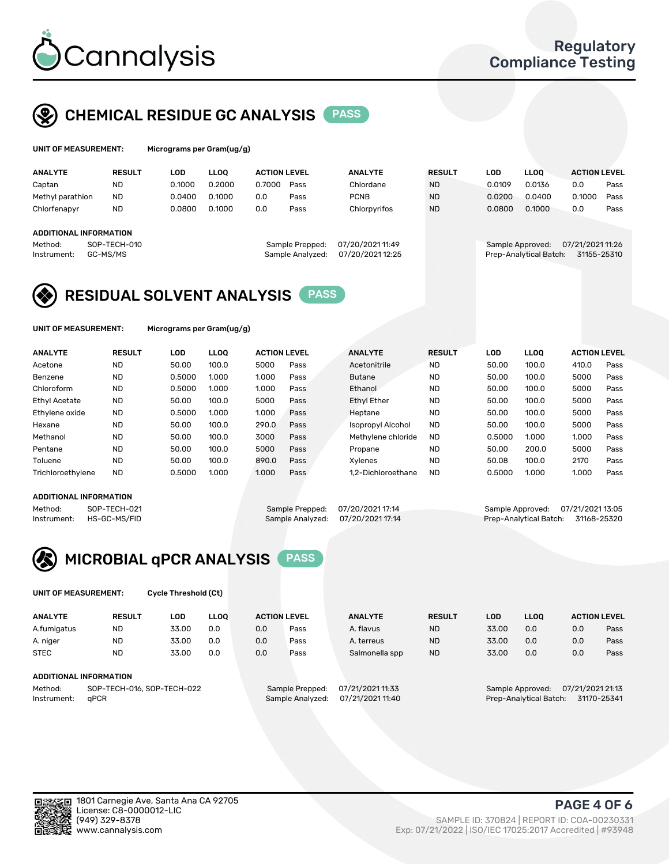

## CHEMICAL RESIDUE GC ANALYSIS PASS

| UNIT OF MEASUREMENT: | Micr |
|----------------------|------|
|----------------------|------|

rograms per Gram(ug/g)

| <b>ANALYTE</b>                | <b>RESULT</b> | LOD    | LLOO   | <b>ACTION LEVEL</b> |                  | <b>ANALYTE</b>   | <b>RESULT</b> | <b>LOD</b> | <b>LLOO</b>            | <b>ACTION LEVEL</b> |      |
|-------------------------------|---------------|--------|--------|---------------------|------------------|------------------|---------------|------------|------------------------|---------------------|------|
| Captan                        | <b>ND</b>     | 0.1000 | 0.2000 | 0.7000              | Pass             | Chlordane        | <b>ND</b>     | 0.0109     | 0.0136                 | 0.0                 | Pass |
| Methyl parathion              | <b>ND</b>     | 0.0400 | 0.1000 | 0.0                 | Pass             | <b>PCNB</b>      | <b>ND</b>     | 0.0200     | 0.0400                 | 0.1000              | Pass |
| Chlorfenapyr                  | <b>ND</b>     | 0.0800 | 0.1000 | 0.0                 | Pass             | Chlorpyrifos     | <b>ND</b>     | 0.0800     | 0.1000                 | 0.0                 | Pass |
|                               |               |        |        |                     |                  |                  |               |            |                        |                     |      |
| <b>ADDITIONAL INFORMATION</b> |               |        |        |                     |                  |                  |               |            |                        |                     |      |
| Method:                       | SOP-TECH-010  |        |        |                     | Sample Prepped:  | 07/20/2021 11:49 |               |            | Sample Approved:       | 07/21/2021 11:26    |      |
| Instrument:                   | GC-MS/MS      |        |        |                     | Sample Analyzed: | 07/20/2021 12:25 |               |            | Prep-Analytical Batch: | 31155-25310         |      |
|                               |               |        |        |                     |                  |                  |               |            |                        |                     |      |

## RESIDUAL SOLVENT ANALYSIS PASS

UNIT OF MEASUREMENT: Micrograms per Gram(ug/g)

| <b>ANALYTE</b>       | <b>RESULT</b> | LOD    | <b>LLOO</b> | <b>ACTION LEVEL</b> |      | <b>ANALYTE</b>           | <b>RESULT</b> | LOD    | LLOO  | <b>ACTION LEVEL</b> |      |
|----------------------|---------------|--------|-------------|---------------------|------|--------------------------|---------------|--------|-------|---------------------|------|
| Acetone              | <b>ND</b>     | 50.00  | 100.0       | 5000                | Pass | Acetonitrile             | <b>ND</b>     | 50.00  | 100.0 | 410.0               | Pass |
| Benzene              | <b>ND</b>     | 0.5000 | 1.000       | 1.000               | Pass | <b>Butane</b>            | <b>ND</b>     | 50.00  | 100.0 | 5000                | Pass |
| Chloroform           | <b>ND</b>     | 0.5000 | 1.000       | 1.000               | Pass | Ethanol                  | <b>ND</b>     | 50.00  | 100.0 | 5000                | Pass |
| <b>Ethyl Acetate</b> | <b>ND</b>     | 50.00  | 100.0       | 5000                | Pass | <b>Ethyl Ether</b>       | <b>ND</b>     | 50.00  | 100.0 | 5000                | Pass |
| Ethylene oxide       | <b>ND</b>     | 0.5000 | 1.000       | 1.000               | Pass | Heptane                  | <b>ND</b>     | 50.00  | 100.0 | 5000                | Pass |
| Hexane               | <b>ND</b>     | 50.00  | 100.0       | 290.0               | Pass | <b>Isopropyl Alcohol</b> | <b>ND</b>     | 50.00  | 100.0 | 5000                | Pass |
| Methanol             | <b>ND</b>     | 50.00  | 100.0       | 3000                | Pass | Methylene chloride       | <b>ND</b>     | 0.5000 | 1.000 | 1.000               | Pass |
| Pentane              | <b>ND</b>     | 50.00  | 100.0       | 5000                | Pass | Propane                  | <b>ND</b>     | 50.00  | 200.0 | 5000                | Pass |
| Toluene              | <b>ND</b>     | 50.00  | 100.0       | 890.0               | Pass | Xvlenes                  | <b>ND</b>     | 50.08  | 100.0 | 2170                | Pass |
| Trichloroethylene    | <b>ND</b>     | 0.5000 | 1.000       | 1.000               | Pass | 1.2-Dichloroethane       | <b>ND</b>     | 0.5000 | 1.000 | 1.000               | Pass |

#### ADDITIONAL INFORMATION

Method: SOP-TECH-021 Sample Prepped: 07/20/2021 17:14 Sample Approved: 07/21/2021 13:05<br>Instrument: HS-GC-MS/FID Sample Analyzed: 07/20/2021 17:14 Prep-Analytical Batch: 31168-25320 Prep-Analytical Batch: 31168-25320



UNIT OF MEASUREMENT: Cycle Threshold (Ct)

| <b>ANALYTE</b>                        | <b>RESULT</b> | LOD   | <b>LLOO</b> |                  | <b>ACTION LEVEL</b> | <b>ANALYTE</b> | <b>RESULT</b>                        | <b>LOD</b>             | <b>LLOO</b> |             | <b>ACTION LEVEL</b> |
|---------------------------------------|---------------|-------|-------------|------------------|---------------------|----------------|--------------------------------------|------------------------|-------------|-------------|---------------------|
| A.fumigatus                           | <b>ND</b>     | 33.00 | 0.0         | 0.0              | Pass                | A. flavus      | <b>ND</b>                            | 33.00                  | 0.0         | 0.0         | Pass                |
| A. niger                              | <b>ND</b>     | 33.00 | 0.0         | 0.0              | Pass                | A. terreus     | <b>ND</b>                            | 33.00                  | 0.0         | 0.0         | Pass                |
| <b>STEC</b>                           | <b>ND</b>     | 33.00 | 0.0         | 0.0              | Pass                | Salmonella spp | <b>ND</b>                            | 33.00                  | 0.0         | 0.0         | Pass                |
| ADDITIONAL INFORMATION                |               |       |             |                  |                     |                |                                      |                        |             |             |                     |
| SOP-TECH-016, SOP-TECH-022<br>Method: |               |       |             | Sample Prepped:  | 07/21/2021 11:33    |                | 07/21/2021 21:13<br>Sample Approved: |                        |             |             |                     |
| aPCR<br>Instrument:                   |               |       |             | Sample Analyzed: | 07/21/2021 11:40    |                |                                      | Prep-Analytical Batch: |             | 31170-25341 |                     |



PAGE 4 OF 6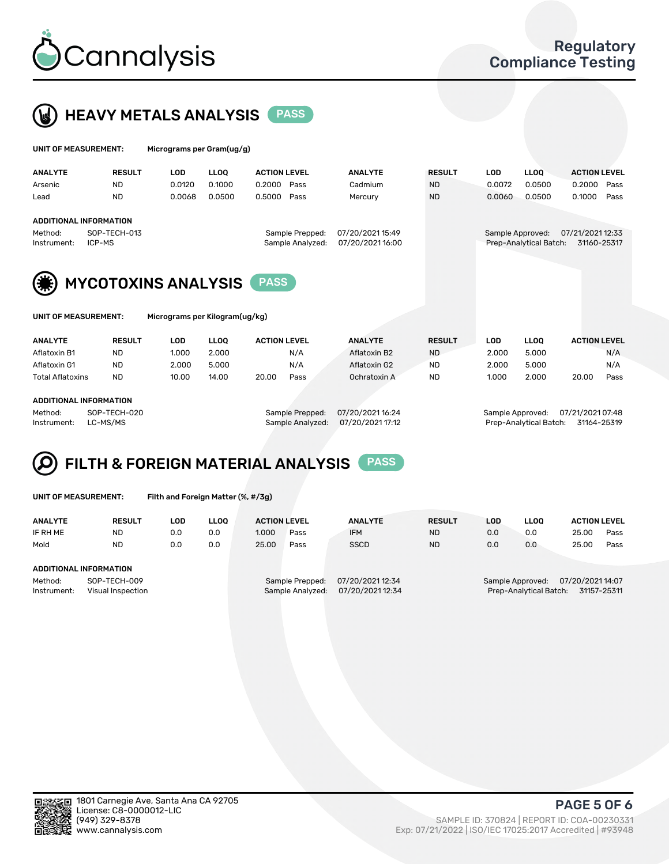



| UNIT OF MEASUREMENT:   |                               |            | Micrograms per Gram(ug/g) |                     |                                     |                                      |               |            |                                            |                                 |      |  |
|------------------------|-------------------------------|------------|---------------------------|---------------------|-------------------------------------|--------------------------------------|---------------|------------|--------------------------------------------|---------------------------------|------|--|
| <b>ANALYTE</b>         | <b>RESULT</b>                 | <b>LOD</b> | <b>LLOO</b>               | <b>ACTION LEVEL</b> |                                     | <b>ANALYTE</b>                       | <b>RESULT</b> | <b>LOD</b> | <b>LLOO</b>                                | <b>ACTION LEVEL</b>             |      |  |
| Arsenic                | <b>ND</b>                     | 0.0120     | 0.1000                    | 0.2000              | Pass                                | Cadmium                              | <b>ND</b>     | 0.0072     | 0.0500                                     | 0.2000                          | Pass |  |
| Lead                   | <b>ND</b>                     | 0.0068     | 0.0500                    | 0.5000              | Pass                                | Mercury                              | <b>ND</b>     | 0.0060     | 0.0500                                     | 0.1000                          | Pass |  |
|                        | <b>ADDITIONAL INFORMATION</b> |            |                           |                     |                                     |                                      |               |            |                                            |                                 |      |  |
| Method:<br>Instrument: | SOP-TECH-013<br>ICP-MS        |            |                           |                     | Sample Prepped:<br>Sample Analyzed: | 07/20/2021 15:49<br>07/20/2021 16:00 |               |            | Sample Approved:<br>Prep-Analytical Batch: | 07/21/2021 12:33<br>31160-25317 |      |  |
|                        |                               |            |                           |                     |                                     |                                      |               |            |                                            |                                 |      |  |
|                        |                               |            |                           |                     |                                     |                                      |               |            |                                            |                                 |      |  |





MYCOTOXINS ANALYSIS PASS

| UNIT OF MEASUREMENT: |  |
|----------------------|--|
|----------------------|--|

Micrograms per Kilogram(ug/kg)

| <b>ANALYTE</b>          | <b>RESULT</b> | LOD   | <b>LLOO</b> | <b>ACTION LEVEL</b> |      | <b>ANALYTE</b> | <b>RESULT</b> | LOD   | <b>LLOO</b> | <b>ACTION LEVEL</b> |      |
|-------------------------|---------------|-------|-------------|---------------------|------|----------------|---------------|-------|-------------|---------------------|------|
| Aflatoxin B1            | <b>ND</b>     | 1.000 | 2.000       |                     | N/A  | Aflatoxin B2   | <b>ND</b>     | 2.000 | 5.000       |                     | N/A  |
| Aflatoxin G1            | <b>ND</b>     | 2.000 | 5.000       |                     | N/A  | Aflatoxin G2   | <b>ND</b>     | 2.000 | 5.000       |                     | N/A  |
| <b>Total Aflatoxins</b> | <b>ND</b>     | 10.00 | 14.00       | 20.00               | Pass | Ochratoxin A   | <b>ND</b>     | 1.000 | 2.000       | 20.00               | Pass |
|                         |               |       |             |                     |      |                |               |       |             |                     |      |

#### ADDITIONAL INFORMATION

Method: SOP-TECH-020 Sample Prepped: 07/20/2021 16:24 Sample Approved: 07/21/2021 07:48

Instrument: LC-MS/MS Sample Analyzed: 07/20/2021 17:12 Prep-Analytical Batch: 31164-25319

# FILTH & FOREIGN MATERIAL ANALYSIS PASS

UNIT OF MEASUREMENT: Filth and Foreign Matter (%, #/3g)

ANALYTE RESULT LOD LLOQ ACTION LEVEL ANALYTE RESULT LOD LLOQ ACTION LEVEL IF RH ME ND 0.0 0.0 1.000 Pass IFM ND 0.0 0.0 25.00 Pass Mold ND 0.0 0.0 25.00 Pass SSCD ND 0.0 0.0 25.00 Pass ADDITIONAL INFORMATION Method: SOP-TECH-009 Sample Prepped: 07/20/2021 12:34 Sample Approved: 07/20/2021 14:07<br>Sample Analyzed: 07/20/2021 12:34 Prep-Analytical Batch: 31157-25311 Instrument: Visual Inspection Sample Analyzed: 07/20/2021 12:34